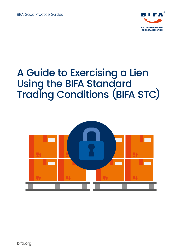BIFA Good Practice Guides



# A Guide to Exercising a Lien Using the BIFA Standard Trading Conditions (BIFA STC)

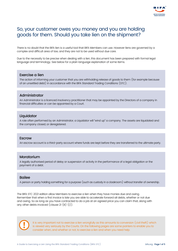

# So, your customer owes you money and you are holding goods for them. Should you take lien on the shipment?

There is no doubt that the BIFA lien is a useful tool that BIFA Members can use. However liens are governed by a complex and difficult area of law, and they are not to be used without due care.

Due to the necessity to be precise when dealing with a lien, this document has been prepared with formal legal language and terminology. See below for a plain language explanation of some items.

#### Exercise a lien

The action of informing your customer that you are withholding release of goods to them (for example because of an unsettled debt) in accordance with the BIFA Standard Trading Conditions (STC).

#### Administrator

An Administrator is a licenced insolvency practitioner that may be appointed by the Directors of a company in financial difficulties or can be appointed by a Court.

#### **Liquidator**

A role often performed by an Administrator, a Liquidator will "wind up" a company. The assets are liquidated and the company closed, or deregistered.

#### **Escrow**

An escrow account is a third-party account where funds are kept before they are transferred to the ultimate party.

### Moratorium

A legally authorised period of delay or suspension of activity in the performance of a legal obligation or the payment of a debt.

#### Bailee

A person or party holding something for a purpose (such as custody in a cloakroom) without transfer of ownership.

The BIFA STC 2021 edition allow Members to exercise a lien when they have monies due and owing. Remember that when a first invoice is late you are able to accelerate forward all debts, whether or not due and owing. So as long as you have contracted to do a job at an agreed price you can claim that, along with any other debts invoiced (clause 21 (B) (i)).



It is very important not to exercise a lien wrongfully as this amounts to conversion (civil theft) which is viewed very seriously by the Courts. On the following pages are some pointers to enable you to consider when, and whether or not, to exercise a lien and when you need help.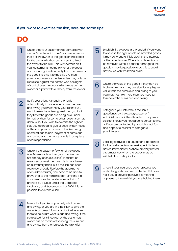# If you want to exercise the lien, here are some tips:

DO

1

 $\boldsymbol{\varLambda}$ 

Check that your customer has complied with clause 3, under which the Customer warrants that it is the owner of the goods or that it acts for the owner who has authorised it to bind the owner to the STC. This is important, as if your customer is not the owner of the goods and has not gained authority from the owner of the goods to bind it to the BIFA STC then you cannot exercise the lien. A lien may only be exercised against the person who has rights of control over the goods which may be the owner or a party with authority from the owner.

Notify your client. Although the lien is automatically in place when sums are due and owing you must notify your client if you want to exercise a lien against them, so that they know the goods are being held under lien rather than for some other reason such as delay. Also, if you wish to exercise the right of sale you do need to give 21 days' written notice of this and you can advise of the lien being operated due to non-payment of sums due and owing and the notice of sale in one piece of correspondence. 2

Check if the customer/owner of the goods is in Administration. If so (and the lien has not already been exercised) it cannot be exercised against them as this is not allowed on a statutory basis, but if the lien has been exercised already (before the appointment of an Administrator) you need to be able to prove that to the Administrator. Similarly, if a customer is trading under a "moratorium" granted by a Court under the Corporate Insolvency and Governance Act 2020, it is not possible to exercise a lien. 3

Ensure that you know precisely what is due and owing, or you are in a position to give the owner/customer information that will enable them to calculate what is due and owing. If the sum asked for is incorrect or the customer/ owner has no means of verifying the sum due and owing, then the lien could be wrongful.

Establish if the goods are branded. If you want to exercise the right of sale on branded goods it may be wrongful if it is against the interests of the brand owner. Where brand details can be removed without causing damage to the goods it may be possible to do this to avoid any issues with the brand owner. 5

Check the value of the goods. If they can be broken down and they are significantly higher value than the sums due and owing to you, you may not hold more than you need to, to recover the sums due and owing. 6

Safeguard your interests. If the lien is questioned by the owner/customer/ Administrator, or if they threaten to appoint a solicitor should you not agree to certain terms, or if you are contacted by a solicitor, act fast and appoint a solicitor to safeguard your interests.

7

8

Seek legal advice. If a Liquidator is appointed for the customer/owner seek specialist legal advice immediately as there are very limited circumstances when the goods may be withheld from a Liquidator.

Check if your insurance cover protects you whilst the goods are held under lien. If it does not it could prove expensive if something happens to them whilst you are holding them. 9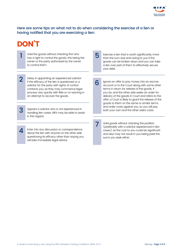

Here are some tips on what not to do when considering the exercise of a lien or having notified that you are exercising a lien:

7

# DON'T

3

4

Hold the goods without checking first who has a right to control the goods, this being the owner or the party authorised by the owner to control them.

Delay in appointing an experienced solicitor if the efficacy of the lien is questioned or a solicitor for the party with rights of control contacts you, as they may commence legal process very quickly with little or no warning in an attempt to recover the goods.

Appoint a solicitor who is not experienced in handling lien cases. BIFA may be able to assist in this regard.

Enter into any discussion or correspondence about the lien with anyone on the other side questioning its efficacy other than saying you will take immediate legal advice.

1 Hold the goods without checking first who<br>has a right to control the goods, this being the<br>than the sum due and owing to you if the goods can be broken down and you can take a lien over part of them to effectively secure your debt. 5

> Ignore an offer to pay money into an escrow account or to the Court along with some other terms in return for release of the goods. If you do, and the other side seeks an order for delivery of the goods in Court and refers to the offer, a Court is likely to grant the release of the goods to them on the same or similar terms and order costs against you, so you will pay both your own and the other side's costs. 6

Hold goods without checking the position (preferably with a solicitor experienced in lien cases) as the cost to you could be significant and also may not result in you being paid the sums you seek either.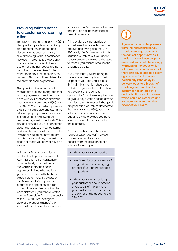

# Providing written notice to a customer concerning a lien

The BIFA STC lien at clause  $8(A)$  (i) is designed to operate automatically as a general lien on goods and documents as soon as money is due and owing, without notification. However, in order to provide clarity, it is advisable to make it plain to a customer that their goods are being held due to the exercise of a lien rather than any other reason such as delay. This should be advised to the client as soon as possible.

The question of whether or not monies are due and owing depends on any payment or credit terms you have with your customer and your intention to rely on clause  $21(B)$  of the BIFA STC 2021 edition which provides that if any sum is due and owing then all sums properly earned or invoiced but not yet due and owing will become payable immediately. This is a useful clause if you are concerned about the liquidity of your customer and fear that administration may be imminent. You do not have to rely on this clause and any non-reliance does not mean you cannot rely on it later on.

Written notification of the lien is helpful should your customer enter Administration as a moratorium is immediately imposed once the Administrator has been appointed limiting what actions you can take even with the lien in place. Furthermore, if the date of the Administrator's appointment predates the operation of a lien, it cannot be exercised against the Administrator. If you have a written notice of exercise of a lien referencing to the BIFA STC pre-dating the date of the appointment of the Administrator that is clear evidence

to pass to the Administrator to show that the lien has been notified as being in operation.

If this evidence is not available you will need to prove that monies are due and owing and the BIFA STC apply. An Administrator in this situation is likely to put you under severe pressure to release the goods to them if you cannot produce the evidence quickly.

If you think that you are going to have to exercise a right of sale in respect of your lien under clause 8(A) (ii) this intention should be included in your written notification to the client at the earliest opportunity. This clause requires you to give 21 day's written notice of your intention to sell. However, if the goods are perishable or likely to deteriorate then, under clause  $8(B)$ , you may sell immediately once sums are due and owing provided you have taken reasonable steps to notify the customer.

You may wish to draft the initial lien notification yourself. However, in some circumstances you may benefit from the assistance of a solicitor, for example: -

- If the goods are branded or
- If an Administrator or owner of the goods is threatening legal process if you do not release the goods or
- If the goods do not belong to your customer and in breach of clause 3 of the BIFA STC your customer has not bound the owner of the goods to the BIFA STC.

If you do come under pressure from the Administrator, you should seek legal advice at the earliest opportunity as if the lien has not been properly exercised you could be wrongly withholding the goods which is known as conversion or civil theft. This could lead to a claim against you for damages, particularly if the delay in delivery leads to a breach of a sale agreement that the customer has entered into and potential loss of business which could be extensive and far more valuable than the extent of your claim.